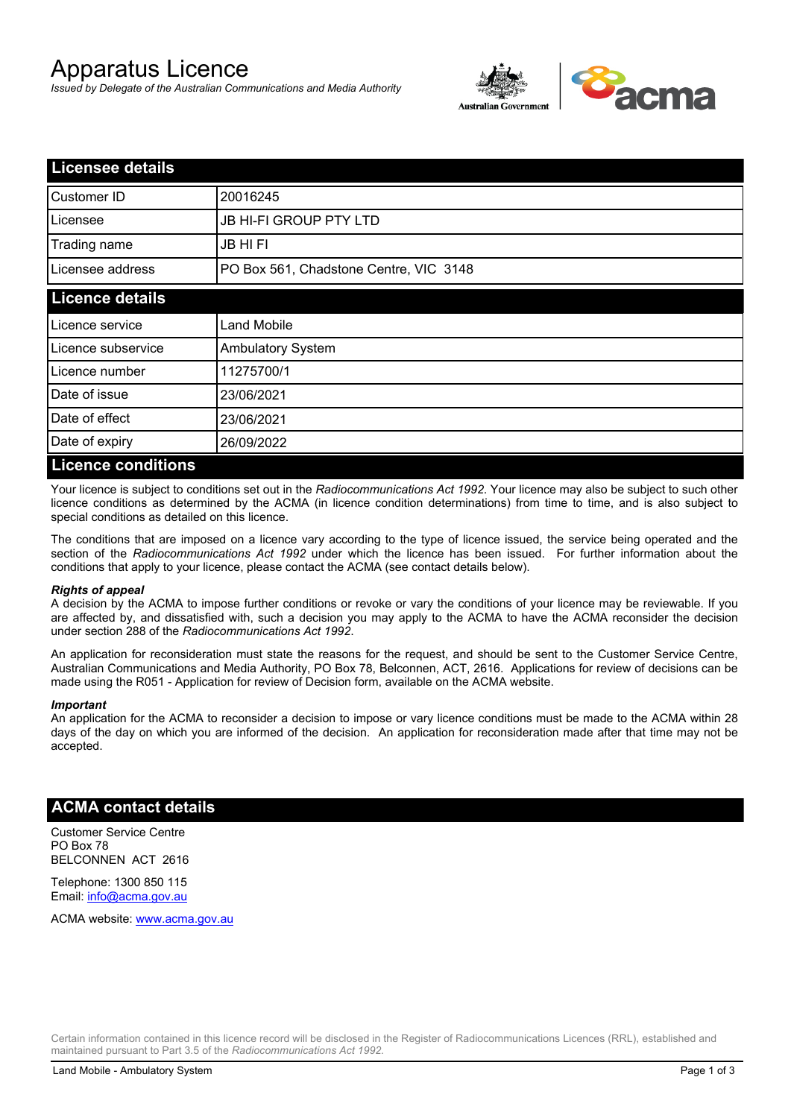# Apparatus Licence

*Issued by Delegate of the Australian Communications and Media Authority*



| <b>Licensee details</b>   |                                        |  |
|---------------------------|----------------------------------------|--|
| Customer ID               | 20016245                               |  |
| Licensee                  | <b>JB HI-FI GROUP PTY LTD</b>          |  |
| Trading name              | <b>JB HIFI</b>                         |  |
| Licensee address          | PO Box 561, Chadstone Centre, VIC 3148 |  |
| <b>Licence details</b>    |                                        |  |
| Licence service           | <b>Land Mobile</b>                     |  |
| Licence subservice        | Ambulatory System                      |  |
| Licence number            | 11275700/1                             |  |
| Date of issue             | 23/06/2021                             |  |
| Date of effect            | 23/06/2021                             |  |
| Date of expiry            | 26/09/2022                             |  |
| <b>Licence conditions</b> |                                        |  |

Your licence is subject to conditions set out in the *Radiocommunications Act 1992*. Your licence may also be subject to such other licence conditions as determined by the ACMA (in licence condition determinations) from time to time, and is also subject to special conditions as detailed on this licence.

The conditions that are imposed on a licence vary according to the type of licence issued, the service being operated and the section of the *Radiocommunications Act 1992* under which the licence has been issued. For further information about the conditions that apply to your licence, please contact the ACMA (see contact details below).

#### *Rights of appeal*

A decision by the ACMA to impose further conditions or revoke or vary the conditions of your licence may be reviewable. If you are affected by, and dissatisfied with, such a decision you may apply to the ACMA to have the ACMA reconsider the decision under section 288 of the *Radiocommunications Act 1992*.

An application for reconsideration must state the reasons for the request, and should be sent to the Customer Service Centre, Australian Communications and Media Authority, PO Box 78, Belconnen, ACT, 2616. Applications for review of decisions can be made using the R051 - Application for review of Decision form, available on the ACMA website.

#### *Important*

An application for the ACMA to reconsider a decision to impose or vary licence conditions must be made to the ACMA within 28 days of the day on which you are informed of the decision. An application for reconsideration made after that time may not be accepted.

#### **ACMA contact details**

Customer Service Centre PO Box 78 BELCONNEN ACT 2616

Telephone: 1300 850 115 Email: info@acma.gov.au

ACMA website: www.acma.gov.au

Certain information contained in this licence record will be disclosed in the Register of Radiocommunications Licences (RRL), established and maintained pursuant to Part 3.5 of the *Radiocommunications Act 1992.*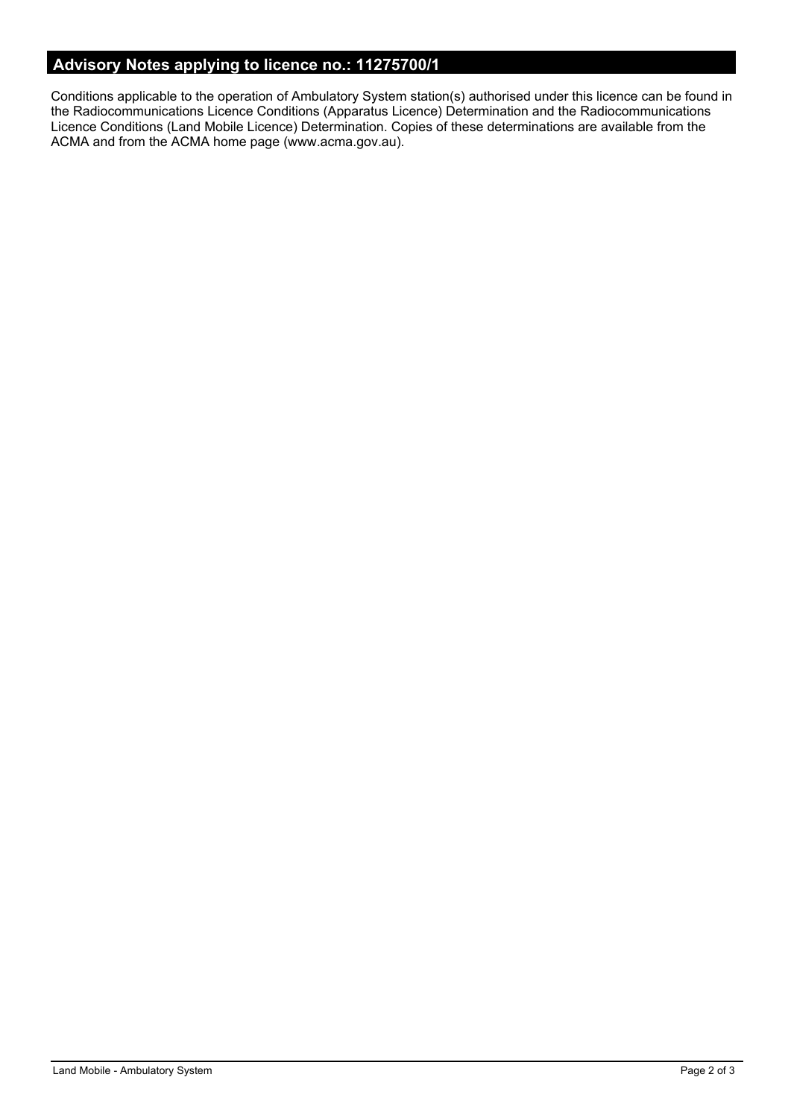## **Advisory Notes applying to licence no.: 11275700/1**

Conditions applicable to the operation of Ambulatory System station(s) authorised under this licence can be found in the Radiocommunications Licence Conditions (Apparatus Licence) Determination and the Radiocommunications Licence Conditions (Land Mobile Licence) Determination. Copies of these determinations are available from the ACMA and from the ACMA home page (www.acma.gov.au).